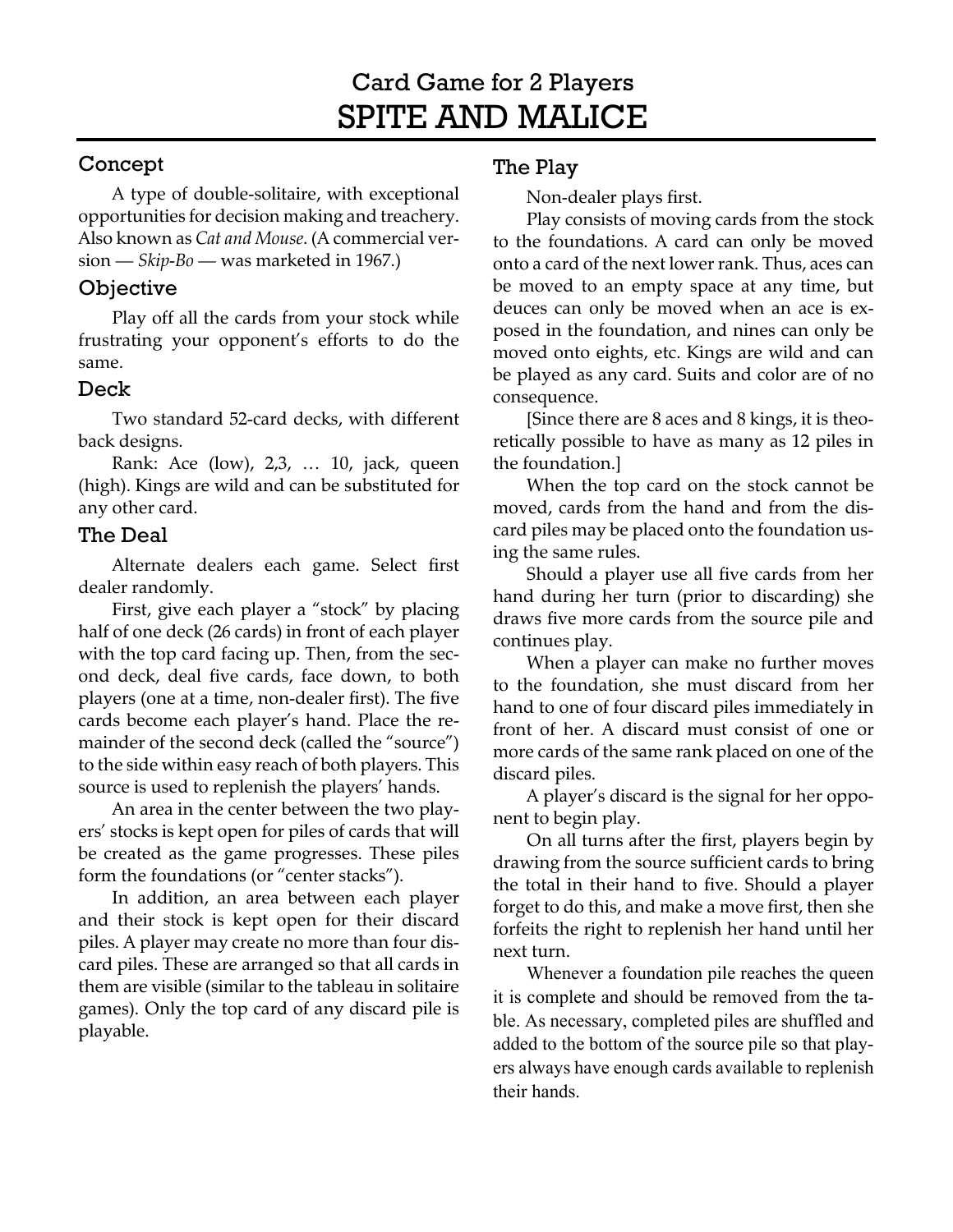# Card Game for 2 Players SPITE AND MALICE

### Concept

A type of double-solitaire, with exceptional opportunities for decision making and treachery. Also known as *Cat and Mouse*. (A commercial version — *Skip-Bo —* was marketed in 1967.)

#### **Objective**

Play off all the cards from your stock while frustrating your opponent's efforts to do the same.

#### Deck

Two standard 52-card decks, with different back designs.

Rank: Ace (low), 2,3, … 10, jack, queen (high). Kings are wild and can be substituted for any other card.

#### The Deal

Alternate dealers each game. Select first dealer randomly.

First, give each player a "stock" by placing half of one deck (26 cards) in front of each player with the top card facing up. Then, from the second deck, deal five cards, face down, to both players (one at a time, non-dealer first). The five cards become each player's hand. Place the remainder of the second deck (called the "source") to the side within easy reach of both players. This source is used to replenish the players' hands.

An area in the center between the two players' stocks is kept open for piles of cards that will be created as the game progresses. These piles form the foundations (or "center stacks").

In addition, an area between each player and their stock is kept open for their discard piles. A player may create no more than four discard piles. These are arranged so that all cards in them are visible (similar to the tableau in solitaire games). Only the top card of any discard pile is playable.

#### The Play

Non-dealer plays first.

Play consists of moving cards from the stock to the foundations. A card can only be moved onto a card of the next lower rank. Thus, aces can be moved to an empty space at any time, but deuces can only be moved when an ace is exposed in the foundation, and nines can only be moved onto eights, etc. Kings are wild and can be played as any card. Suits and color are of no consequence.

[Since there are 8 aces and 8 kings, it is theoretically possible to have as many as 12 piles in the foundation.]

When the top card on the stock cannot be moved, cards from the hand and from the discard piles may be placed onto the foundation using the same rules.

Should a player use all five cards from her hand during her turn (prior to discarding) she draws five more cards from the source pile and continues play.

When a player can make no further moves to the foundation, she must discard from her hand to one of four discard piles immediately in front of her. A discard must consist of one or more cards of the same rank placed on one of the discard piles.

A player's discard is the signal for her opponent to begin play.

On all turns after the first, players begin by drawing from the source sufficient cards to bring the total in their hand to five. Should a player forget to do this, and make a move first, then she forfeits the right to replenish her hand until her next turn.

Whenever a foundation pile reaches the queen it is complete and should be removed from the table. As necessary, completed piles are shuffled and added to the bottom of the source pile so that players always have enough cards available to replenish their hands.